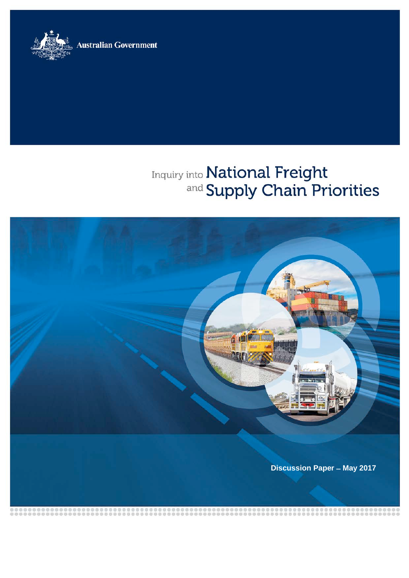**Australian Government** 



# Inquiry into National Freight<br>and Supply Chain Priorities

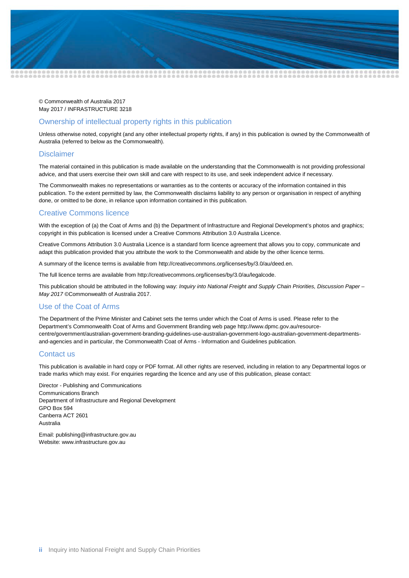

© Commonwealth of Australia 2017 May 2017 / INFRASTRUCTURE 3218

#### Ownership of intellectual property rights in this publication

Unless otherwise noted, copyright (and any other intellectual property rights, if any) in this publication is owned by the Commonwealth of Australia (referred to below as the Commonwealth).

#### **Disclaimer**

The material contained in this publication is made available on the understanding that the Commonwealth is not providing professional advice, and that users exercise their own skill and care with respect to its use, and seek independent advice if necessary.

The Commonwealth makes no representations or warranties as to the contents or accuracy of the information contained in this publication. To the extent permitted by law, the Commonwealth disclaims liability to any person or organisation in respect of anything done, or omitted to be done, in reliance upon information contained in this publication.

#### Creative Commons licence

With the exception of (a) the Coat of Arms and (b) the Department of Infrastructure and Regional Development's photos and graphics; copyright in this publication is licensed under a Creative Commons Attribution 3.0 Australia Licence.

Creative Commons Attribution 3.0 Australia Licence is a standard form licence agreement that allows you to copy, communicate and adapt this publication provided that you attribute the work to the Commonwealth and abide by the other licence terms.

A summary of the licence terms is available from http://creativecommons.org/licenses/by/3.0/au/deed.en.

The full licence terms are available from http://creativecommons.org/licenses/by/3.0/au/legalcode.

This publication should be attributed in the following way: *Inquiry into National Freight and Supply Chain Priorities, Discussion Paper – May 2017* ©Commonwealth of Australia 2017.

#### Use of the Coat of Arms

The Department of the Prime Minister and Cabinet sets the terms under which the Coat of Arms is used. Please refer to the Department's Commonwealth Coat of Arms and Government Branding web page http://www.dpmc.gov.au/resourcecentre/government/australian-government-branding-guidelines-use-australian-government-logo-australian-government-departmentsand-agencies and in particular, the Commonwealth Coat of Arms - Information and Guidelines publication.

#### Contact us

This publication is available in hard copy or PDF format. All other rights are reserved, including in relation to any Departmental logos or trade marks which may exist. For enquiries regarding the licence and any use of this publication, please contact:

Director - Publishing and Communications Communications Branch Department of Infrastructure and Regional Development GPO Box 594 Canberra ACT 2601 Australia

Email: publishing@infrastructure.gov.au Website: www.infrastructure.gov.au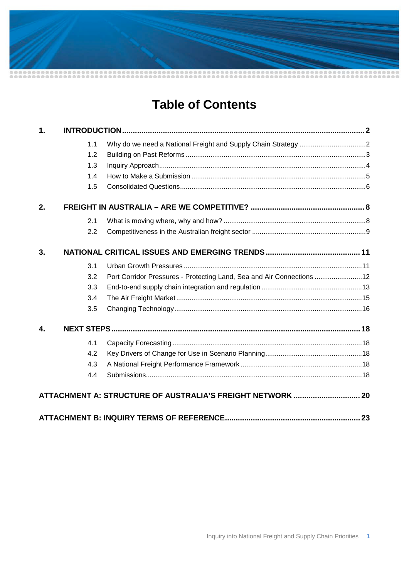# **Table of Contents**

| $\mathbf 1$ . |     |                                                                        |  |
|---------------|-----|------------------------------------------------------------------------|--|
|               | 1.1 |                                                                        |  |
|               | 1.2 |                                                                        |  |
|               | 1.3 |                                                                        |  |
|               | 1.4 |                                                                        |  |
|               | 1.5 |                                                                        |  |
| 2.            |     |                                                                        |  |
|               | 2.1 |                                                                        |  |
|               | 2.2 |                                                                        |  |
| 3.            |     |                                                                        |  |
|               | 3.1 |                                                                        |  |
|               | 3.2 | Port Corridor Pressures - Protecting Land, Sea and Air Connections  12 |  |
|               | 3.3 |                                                                        |  |
|               | 3.4 |                                                                        |  |
|               | 3.5 |                                                                        |  |
| 4.            |     |                                                                        |  |
|               | 4.1 |                                                                        |  |
|               | 4.2 |                                                                        |  |
|               | 4.3 |                                                                        |  |
|               | 4.4 |                                                                        |  |
|               |     | ATTACHMENT A: STRUCTURE OF AUSTRALIA'S FREIGHT NETWORK  20             |  |
|               |     |                                                                        |  |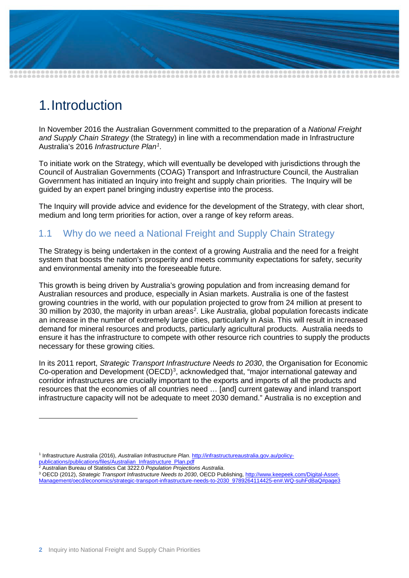

# <span id="page-3-0"></span>1.Introduction

In November 2016 the Australian Government committed to the preparation of a *National Freight and Supply Chain Strategy* (the Strategy) in line with a recommendation made in Infrastructure Australia's 2016 *Infrastructure Plan[1](#page-3-2)* .

To initiate work on the Strategy, which will eventually be developed with jurisdictions through the Council of Australian Governments (COAG) Transport and Infrastructure Council, the Australian Government has initiated an Inquiry into freight and supply chain priorities. The Inquiry will be guided by an expert panel bringing industry expertise into the process.

The Inquiry will provide advice and evidence for the development of the Strategy, with clear short, medium and long term priorities for action, over a range of key reform areas.

# <span id="page-3-1"></span>1.1 Why do we need a National Freight and Supply Chain Strategy

The Strategy is being undertaken in the context of a growing Australia and the need for a freight system that boosts the nation's prosperity and meets community expectations for safety, security and environmental amenity into the foreseeable future.

This growth is being driven by Australia's growing population and from increasing demand for Australian resources and produce, especially in Asian markets. Australia is one of the fastest growing countries in the world, with our population projected to grow from 24 million at present to 30 million by [2](#page-3-3)030, the majority in urban areas<sup>2</sup>. Like Australia, global population forecasts indicate an increase in the number of extremely large cities, particularly in Asia. This will result in increased demand for mineral resources and products, particularly agricultural products. Australia needs to ensure it has the infrastructure to compete with other resource rich countries to supply the products necessary for these growing cities.

In its 2011 report, *Strategic Transport Infrastructure Needs to 2030*, the Organisation for Economic Co-operation and Development  $(OECD)^3$  $(OECD)^3$ , acknowledged that, "major international gateway and corridor infrastructures are crucially important to the exports and imports of all the products and resources that the economies of all countries need … [and] current gateway and inland transport infrastructure capacity will not be adequate to meet 2030 demand." Australia is no exception and

<span id="page-3-3"></span><sup>2</sup> Australian Bureau of Statistics Cat 3222.0 *Population Projections Australia*.

-

<span id="page-3-4"></span><sup>3</sup> OECD (2012), *Strategic Transport Infrastructure Needs to 2030*, OECD Publishing[, http://www.keepeek.com/Digital-Asset-](http://www.keepeek.com/Digital-Asset-Management/oecd/economics/strategic-transport-infrastructure-needs-to-2030_9789264114425-en#.WQ-suhFdBaQ)[Management/oecd/economics/strategic-transport-infrastructure-needs-to-2030\\_9789264114425-en#.WQ-suhFdBaQ#page3](http://www.keepeek.com/Digital-Asset-Management/oecd/economics/strategic-transport-infrastructure-needs-to-2030_9789264114425-en#.WQ-suhFdBaQ)

<span id="page-3-2"></span><sup>1</sup> Infrastructure Australia (2016), *Australian Infrastructure Plan*[. http://infrastructureaustralia.gov.au/policy](http://infrastructureaustralia.gov.au/policy-publications/publications/files/Australian_Infrastructure_Plan.pdf)[publications/publications/files/Australian\\_Infrastructure\\_Plan.pdf](http://infrastructureaustralia.gov.au/policy-publications/publications/files/Australian_Infrastructure_Plan.pdf)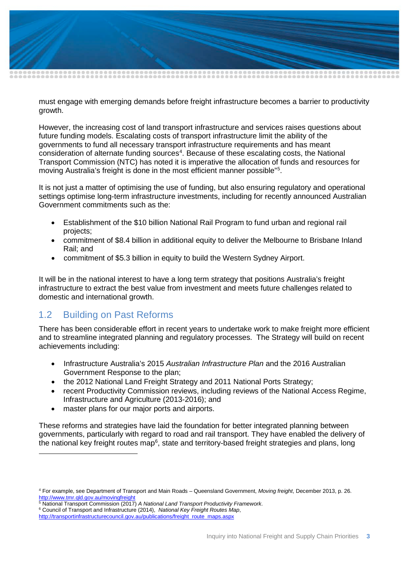

must engage with emerging demands before freight infrastructure becomes a barrier to productivity growth.

However, the increasing cost of land transport infrastructure and services raises questions about future funding models. Escalating costs of transport infrastructure limit the ability of the governments to fund all necessary transport infrastructure requirements and has meant consideration of alternate funding sources<sup>[4](#page-4-1)</sup>. Because of these escalating costs, the National Transport Commission (NTC) has noted it is imperative the allocation of funds and resources for moving Australia's freight is done in the most efficient manner possible"[5](#page-4-2) .

It is not just a matter of optimising the use of funding, but also ensuring regulatory and operational settings optimise long-term infrastructure investments, including for recently announced Australian Government commitments such as the:

- Establishment of the \$10 billion National Rail Program to fund urban and regional rail projects;
- commitment of \$8.4 billion in additional equity to deliver the Melbourne to Brisbane Inland Rail; and
- commitment of \$5.3 billion in equity to build the Western Sydney Airport.

It will be in the national interest to have a long term strategy that positions Australia's freight infrastructure to extract the best value from investment and meets future challenges related to domestic and international growth.

## <span id="page-4-0"></span>1.2 Building on Past Reforms

-

There has been considerable effort in recent years to undertake work to make freight more efficient and to streamline integrated planning and regulatory processes. The Strategy will build on recent achievements including:

- Infrastructure Australia's 2015 *Australian Infrastructure Plan* and the 2016 Australian Government Response to the plan;
- the 2012 National Land Freight Strategy and 2011 National Ports Strategy;
- recent Productivity Commission reviews, including reviews of the National Access Regime, Infrastructure and Agriculture (2013-2016); and
- master plans for our major ports and airports.

These reforms and strategies have laid the foundation for better integrated planning between governments, particularly with regard to road and rail transport. They have enabled the delivery of the national key freight routes map<sup>[6](#page-4-3)</sup>, state and territory-based freight strategies and plans, long

<span id="page-4-1"></span><sup>4</sup> For example, see Department of Transport and Main Roads – Queensland Government, *Moving freight*, December 2013, p. 26. <http://www.tmr.qld.gov.au/movingfreight><br><sup>5</sup> National Transport Commission (2017) A National Land Transport Productivity Framework.

<span id="page-4-3"></span><span id="page-4-2"></span><sup>&</sup>lt;sup>6</sup> Council of Transport and Infrastructure (2014), *National Key Freight Routes Map*,

[http://transportinfrastructurecouncil.gov.au/publications/freight\\_route\\_maps.aspx](http://transportinfrastructurecouncil.gov.au/publications/freight_route_maps.aspx)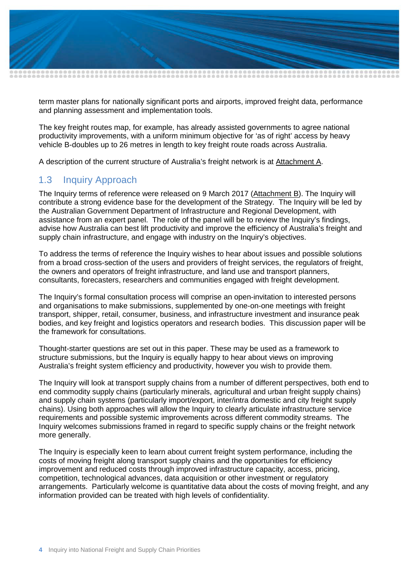

term master plans for nationally significant ports and airports, improved freight data, performance and planning assessment and implementation tools.

The key freight routes map, for example, has already assisted governments to agree national productivity improvements, with a uniform minimum objective for 'as of right' access by heavy vehicle B-doubles up to 26 metres in length to key freight route roads across Australia.

A description of the current structure of Australia's freight network is at Attachment A.

## <span id="page-5-0"></span>1.3 Inquiry Approach

The Inquiry terms of reference were released on 9 March 2017 (Attachment B). The Inquiry will contribute a strong evidence base for the development of the Strategy. The Inquiry will be led by the Australian Government Department of Infrastructure and Regional Development, with assistance from an expert panel. The role of the panel will be to review the Inquiry's findings, advise how Australia can best lift productivity and improve the efficiency of Australia's freight and supply chain infrastructure, and engage with industry on the Inquiry's objectives.

To address the terms of reference the Inquiry wishes to hear about issues and possible solutions from a broad cross-section of the users and providers of freight services, the regulators of freight, the owners and operators of freight infrastructure, and land use and transport planners, consultants, forecasters, researchers and communities engaged with freight development.

The Inquiry's formal consultation process will comprise an open-invitation to interested persons and organisations to make submissions, supplemented by one-on-one meetings with freight transport, shipper, retail, consumer, business, and infrastructure investment and insurance peak bodies, and key freight and logistics operators and research bodies. This discussion paper will be the framework for consultations.

Thought-starter questions are set out in this paper. These may be used as a framework to structure submissions, but the Inquiry is equally happy to hear about views on improving Australia's freight system efficiency and productivity, however you wish to provide them.

The Inquiry will look at transport supply chains from a number of different perspectives, both end to end commodity supply chains (particularly minerals, agricultural and urban freight supply chains) and supply chain systems (particularly import/export, inter/intra domestic and city freight supply chains). Using both approaches will allow the Inquiry to clearly articulate infrastructure service requirements and possible systemic improvements across different commodity streams. The Inquiry welcomes submissions framed in regard to specific supply chains or the freight network more generally.

The Inquiry is especially keen to learn about current freight system performance, including the costs of moving freight along transport supply chains and the opportunities for efficiency improvement and reduced costs through improved infrastructure capacity, access, pricing, competition, technological advances, data acquisition or other investment or regulatory arrangements. Particularly welcome is quantitative data about the costs of moving freight, and any information provided can be treated with high levels of confidentiality.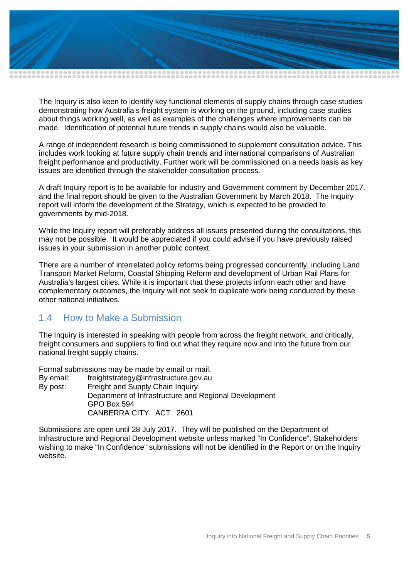

The Inquiry is also keen to identify key functional elements of supply chains through case studies demonstrating how Australia's freight system is working on the ground, including case studies about things working well, as well as examples of the challenges where improvements can be made. Identification of potential future trends in supply chains would also be valuable.

A range of independent research is being commissioned to supplement consultation advice. This includes work looking at future supply chain trends and international comparisons of Australian freight performance and productivity. Further work will be commissioned on a needs basis as key issues are identified through the stakeholder consultation process.

A draft Inquiry report is to be available for industry and Government comment by December 2017, and the final report should be given to the Australian Government by March 2018. The Inquiry report will inform the development of the Strategy, which is expected to be provided to governments by mid-2018.

While the Inquiry report will preferably address all issues presented during the consultations, this may not be possible. It would be appreciated if you could advise if you have previously raised issues in your submission in another public context.

There are a number of interrelated policy reforms being progressed concurrently, including Land Transport Market Reform, Coastal Shipping Reform and development of Urban Rail Plans for Australia's largest cities. While it is important that these projects inform each other and have complementary outcomes, the Inquiry will not seek to duplicate work being conducted by these other national initiatives.

## <span id="page-6-0"></span>1.4 How to Make a Submission

The Inquiry is interested in speaking with people from across the freight network, and critically, freight consumers and suppliers to find out what they require now and into the future from our national freight supply chains.

Formal submissions may be made by email or mail.

By email: freightstrategy@infrastructure.gov.au By post: Freight and Supply Chain Inquiry Department of Infrastructure and Regional Development GPO Box 594 CANBERRA CITY ACT 2601

Submissions are open until 28 July 2017. They will be published on the Department of Infrastructure and Regional Development website unless marked "In Confidence". Stakeholders wishing to make "In Confidence" submissions will not be identified in the Report or on the Inquiry website.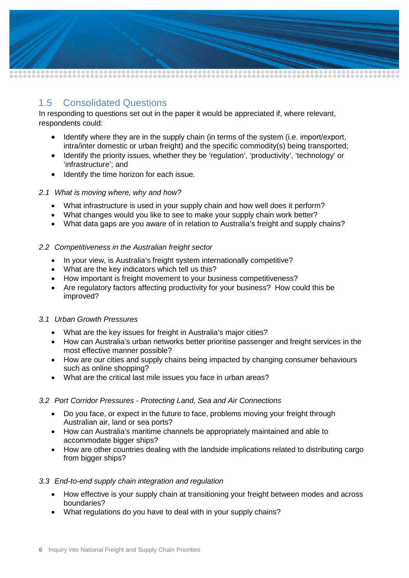

# <span id="page-7-0"></span>1.5 Consolidated Questions

In responding to questions set out in the paper it would be appreciated if, where relevant, respondents could:

- Identify where they are in the supply chain (in terms of the system (i.e. import/export, intra/inter domestic or urban freight) and the specific commodity(s) being transported;
- Identify the priority issues, whether they be 'regulation', 'productivity', 'technology' or 'infrastructure'; and
- Identify the time horizon for each issue.

#### *2.1 What is moving where, why and how?*

- What infrastructure is used in your supply chain and how well does it perform?
- What changes would you like to see to make your supply chain work better?
- What data gaps are you aware of in relation to Australia's freight and supply chains?

#### *2.2 Competitiveness in the Australian freight sector*

- In your view, is Australia's freight system internationally competitive?
- What are the key indicators which tell us this?
- How important is freight movement to your business competitiveness?
- Are regulatory factors affecting productivity for your business? How could this be improved?

#### *3.1 Urban Growth Pressures*

- What are the key issues for freight in Australia's major cities?
- How can Australia's urban networks better prioritise passenger and freight services in the most effective manner possible?
- How are our cities and supply chains being impacted by changing consumer behaviours such as online shopping?
- What are the critical last mile issues you face in urban areas?

#### *3.2 Port Corridor Pressures - Protecting Land, Sea and Air Connections*

- Do you face, or expect in the future to face, problems moving your freight through Australian air, land or sea ports?
- How can Australia's maritime channels be appropriately maintained and able to accommodate bigger ships?
- How are other countries dealing with the landside implications related to distributing cargo from bigger ships?

#### *3.3 End-to-end supply chain integration and regulation*

- How effective is your supply chain at transitioning your freight between modes and across boundaries?
- What regulations do you have to deal with in your supply chains?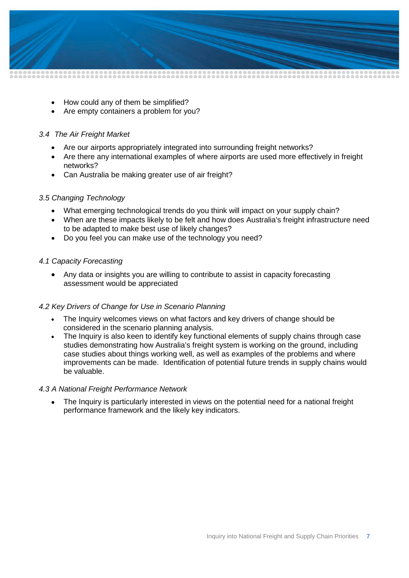

- How could any of them be simplified?
- Are empty containers a problem for you?

#### *3.4 The Air Freight Market*

- Are our airports appropriately integrated into surrounding freight networks?
- Are there any international examples of where airports are used more effectively in freight networks?
- Can Australia be making greater use of air freight?

#### *3.5 Changing Technology*

- What emerging technological trends do you think will impact on your supply chain?
- When are these impacts likely to be felt and how does Australia's freight infrastructure need to be adapted to make best use of likely changes?
- Do you feel you can make use of the technology you need?

#### *4.1 Capacity Forecasting*

• Any data or insights you are willing to contribute to assist in capacity forecasting assessment would be appreciated

#### *4.2 Key Drivers of Change for Use in Scenario Planning*

- The Inquiry welcomes views on what factors and key drivers of change should be considered in the scenario planning analysis.
- The Inquiry is also keen to identify key functional elements of supply chains through case studies demonstrating how Australia's freight system is working on the ground, including case studies about things working well, as well as examples of the problems and where improvements can be made. Identification of potential future trends in supply chains would be valuable.

#### *4.3 A National Freight Performance Network*

• The Inquiry is particularly interested in views on the potential need for a national freight performance framework and the likely key indicators.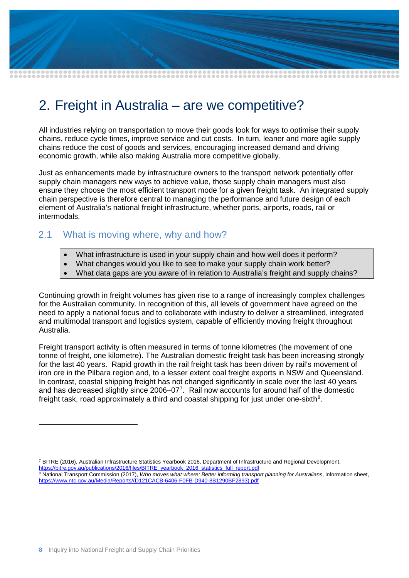

# <span id="page-9-0"></span>2. Freight in Australia – are we competitive?

All industries relying on transportation to move their goods look for ways to optimise their supply chains, reduce cycle times, improve service and cut costs. In turn, leaner and more agile supply chains reduce the cost of goods and services, encouraging increased demand and driving economic growth, while also making Australia more competitive globally.

Just as enhancements made by infrastructure owners to the transport network potentially offer supply chain managers new ways to achieve value, those supply chain managers must also ensure they choose the most efficient transport mode for a given freight task. An integrated supply chain perspective is therefore central to managing the performance and future design of each element of Australia's national freight infrastructure, whether ports, airports, roads, rail or intermodals.

# <span id="page-9-1"></span>2.1 What is moving where, why and how?

- What infrastructure is used in your supply chain and how well does it perform?
- What changes would you like to see to make your supply chain work better?
- What data gaps are you aware of in relation to Australia's freight and supply chains?

Continuing growth in freight volumes has given rise to a range of increasingly complex challenges for the Australian community. In recognition of this, all levels of government have agreed on the need to apply a national focus and to collaborate with industry to deliver a streamlined, integrated and multimodal transport and logistics system, capable of efficiently moving freight throughout Australia.

Freight transport activity is often measured in terms of tonne kilometres (the movement of one tonne of freight, one kilometre). The Australian domestic freight task has been increasing strongly for the last 40 years. Rapid growth in the rail freight task has been driven by rail's movement of iron ore in the Pilbara region and, to a lesser extent coal freight exports in NSW and Queensland. In contrast, coastal shipping freight has not changed significantly in scale over the last 40 years and has decreased slightly since  $2006-07<sup>7</sup>$  $2006-07<sup>7</sup>$  $2006-07<sup>7</sup>$ . Rail now accounts for around half of the domestic freight task, road approximately a third and coastal shipping for just under one-sixth $^8\!$  $^8\!$  $^8\!$ .

[https://bitre.gov.au/publications/2016/files/BITRE\\_yearbook\\_2016\\_statistics\\_full\\_report.pdf](https://bitre.gov.au/publications/2016/files/BITRE_yearbook_2016_statistics_full_report.pdf)

-

<span id="page-9-2"></span><sup>7</sup> BITRE (2016), Australian Infrastructure Statistics Yearbook 2016, Department of Infrastructure and Regional Development,

<span id="page-9-3"></span><sup>8</sup> National Transport Commission (2017), *Who moves what where: Better informing transport planning for Australians*, information sheet, [https://www.ntc.gov.au/Media/Reports/\(D121CACB-6406-F0FB-D940-8B1290BF2893\).pdf](https://www.ntc.gov.au/Media/Reports/(D121CACB-6406-F0FB-D940-8B1290BF2893).pdf)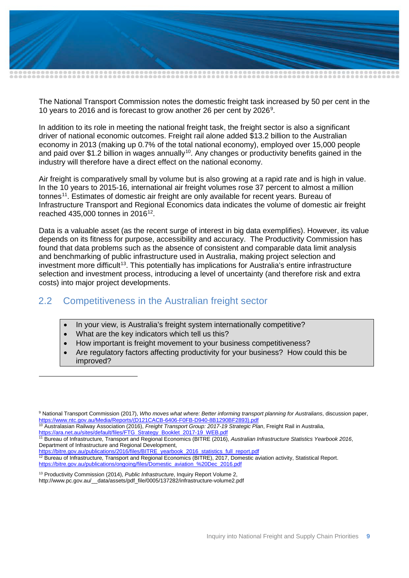

The National Transport Commission notes the domestic freight task increased by 50 per cent in the 10 years to 2016 and is forecast to grow another 26 per cent by 2026[9](#page-10-1) .

In addition to its role in meeting the national freight task, the freight sector is also a significant driver of national economic outcomes. Freight rail alone added \$13.2 billion to the Australian economy in 2013 (making up 0.7% of the total national economy), employed over 15,000 people and paid over \$1.2 billion in wages annually<sup>10</sup>. Any changes or productivity benefits gained in the industry will therefore have a direct effect on the national economy.

Air freight is comparatively small by volume but is also growing at a rapid rate and is high in value. In the 10 years to 2015-16, international air freight volumes rose 37 percent to almost a million tonnes<sup>11</sup>. Estimates of domestic air freight are only available for recent years. Bureau of Infrastructure Transport and Regional Economics data indicates the volume of domestic air freight reached 435,000 tonnes in  $2016^{12}$ .

Data is a valuable asset (as the recent surge of interest in big data exemplifies). However, its value depends on its fitness for purpose, accessibility and accuracy. The Productivity Commission has found that data problems such as the absence of consistent and comparable data limit analysis and benchmarking of public infrastructure used in Australia, making project selection and investment more difficult<sup>[13](#page-10-5)</sup>. This potentially has implications for Australia's entire infrastructure selection and investment process, introducing a level of uncertainty (and therefore risk and extra costs) into major project developments.

# <span id="page-10-0"></span>2.2 Competitiveness in the Australian freight sector

- In your view, is Australia's freight system internationally competitive?
- What are the key indicators which tell us this?

-

- How important is freight movement to your business competitiveness?
- Are regulatory factors affecting productivity for your business? How could this be improved?

<span id="page-10-2"></span><sup>10</sup> Australasian Railway Association (2016), *Freight Transport Group: 2017-19 Strategic Plan*, Freight Rail in Australia, [https://ara.net.au/sites/default/files/FTG\\_Strategy\\_Booklet\\_2017-19\\_WEB.pdf](https://ara.net.au/sites/default/files/FTG_Strategy_Booklet_2017-19_WEB.pdf)

<span id="page-10-5"></span><sup>13</sup> Productivity Commission (2014), *Public Infrastructure*, Inquiry Report Volume 2, http://www.pc.gov.au/\_\_data/assets/pdf\_file/0005/137282/infrastructure-volume2.pdf

<span id="page-10-1"></span><sup>9</sup> National Transport Commission (2017), *Who moves what where: Better informing transport planning for Australians*, discussion paper, [https://www.ntc.gov.au/Media/Reports/\(D121CACB-6406-F0FB-D940-8B1290BF2893\).pdf](https://www.ntc.gov.au/Media/Reports/(D121CACB-6406-F0FB-D940-8B1290BF2893).pdf)

<span id="page-10-3"></span><sup>11</sup> Bureau of Infrastructure, Transport and Regional Economics (BITRE (2016), *Australian Infrastructure Statistics Yearbook 2016*, Department of Infrastructure and Regional Development,

[https://bitre.gov.au/publications/2016/files/BITRE\\_yearbook\\_2016\\_statistics\\_full\\_report.pdf](https://bitre.gov.au/publications/2016/files/BITRE_yearbook_2016_statistics_full_report.pdf)

<span id="page-10-4"></span><sup>&</sup>lt;sup>12</sup> Bureau of Infrastructure, Transport and Regional Economics (BITRE), 2017, Domestic aviation activity, Statistical Report. [https://bitre.gov.au/publications/ongoing/files/Domestic\\_aviation\\_%20Dec\\_2016.pdf](https://bitre.gov.au/publications/ongoing/files/Domestic_aviation_%20Dec_2016.pdf)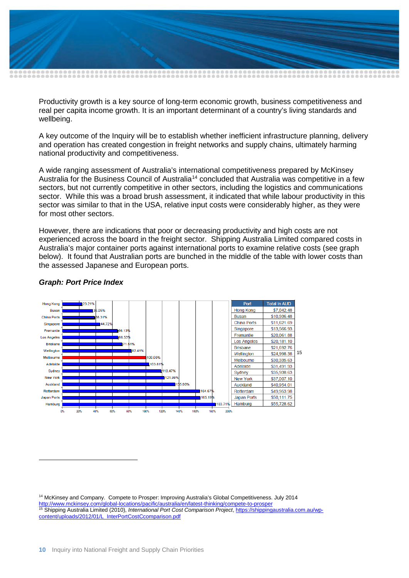

Productivity growth is a key source of long-term economic growth, business competitiveness and real per capita income growth. It is an important determinant of a country's living standards and wellbeing.

A key outcome of the Inquiry will be to establish whether inefficient infrastructure planning, delivery and operation has created congestion in freight networks and supply chains, ultimately harming national productivity and competitiveness.

A wide ranging assessment of Australia's international competitiveness prepared by McKinsey Australia for the Business Council of Australia<sup>[14](#page-11-0)</sup> concluded that Australia was competitive in a few sectors, but not currently competitive in other sectors, including the logistics and communications sector. While this was a broad brush assessment, it indicated that while labour productivity in this sector was similar to that in the USA, relative input costs were considerably higher, as they were for most other sectors.

However, there are indications that poor or decreasing productivity and high costs are not experienced across the board in the freight sector. Shipping Australia Limited compared costs in Australia's major container ports against international ports to examine relative costs (see graph below). It found that Australian ports are bunched in the middle of the table with lower costs than the assessed Japanese and European ports.



#### *Graph: Port Price Index*

-

<span id="page-11-1"></span><span id="page-11-0"></span><sup>14</sup> McKinsey and Company. Compete to Prosper: Improving Australia's Global Competitiveness. July 2014 <http://www.mckinsey.com/global-locations/pacific/australia/en/latest-thinking/compete-to-prosper> <sup>15</sup> Shipping Australia Limited (2010), *International Port Cost Comparison Project*[, https://shippingaustralia.com.au/wp](https://shippingaustralia.com.au/wp-content/uploads/2012/01/L_InterPortCostCcomparison.pdf)[content/uploads/2012/01/L\\_InterPortCostCcomparison.pdf](https://shippingaustralia.com.au/wp-content/uploads/2012/01/L_InterPortCostCcomparison.pdf)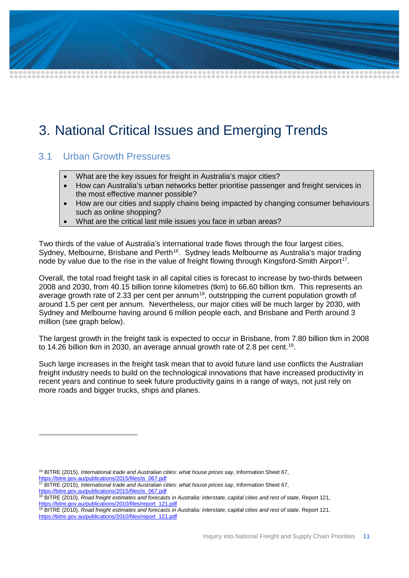# <span id="page-12-0"></span>3. National Critical Issues and Emerging Trends

## <span id="page-12-1"></span>3.1 Urban Growth Pressures

- What are the key issues for freight in Australia's major cities?
- How can Australia's urban networks better prioritise passenger and freight services in the most effective manner possible?
- How are our cities and supply chains being impacted by changing consumer behaviours such as online shopping?
- What are the critical last mile issues you face in urban areas?

Two thirds of the value of Australia's international trade flows through the four largest cities, Sydney, Melbourne, Brisbane and Perth<sup>16</sup>. Sydney leads Melbourne as Australia's major trading node by value due to the rise in the value of freight flowing through Kingsford-Smith Airport<sup>17</sup>.

Overall, the total road freight task in all capital cities is forecast to increase by two-thirds between 2008 and 2030, from 40.15 billion tonne kilometres (tkm) to 66.60 billion tkm. This represents an average growth rate of 2.33 per cent per annum<sup>18</sup>, outstripping the current population growth of around 1.5 per cent per annum. Nevertheless, our major cities will be much larger by 2030, with Sydney and Melbourne having around 6 million people each, and Brisbane and Perth around 3 million (see graph below).

The largest growth in the freight task is expected to occur in Brisbane, from 7.80 billion tkm in 2008 to 14.26 billion tkm in 2030, an average annual growth rate of 2.8 per cent.<sup>[19](#page-12-5)</sup>.

Such large increases in the freight task mean that to avoid future land use conflicts the Australian freight industry needs to build on the technological innovations that have increased productivity in recent years and continue to seek future productivity gains in a range of ways, not just rely on more roads and bigger trucks, ships and planes.

- <sup>16</sup> BITRE (2015), *International trade and Australian cities: what house prices say*, Information Sheet 67,
- <span id="page-12-2"></span>[https://bitre.gov.au/publications/2015/files/is\\_067.pdf](https://bitre.gov.au/publications/2015/files/is_067.pdf)

-

- <span id="page-12-3"></span><sup>17</sup> BITRE (2015), *International trade and Australian cities: what house prices say*, Information Sheet 67, [https://bitre.gov.au/publications/2015/files/is\\_067.pdf](https://bitre.gov.au/publications/2015/files/is_067.pdf)
- <span id="page-12-4"></span><sup>18</sup> BITRE (2010), *Road freight estimates and forecasts in Australia: interstate, capital cities and rest of state*, Report 121, [https://bitre.gov.au/publications/2010/files/report\\_121.pdf](https://bitre.gov.au/publications/2010/files/report_121.pdf)
- <span id="page-12-5"></span><sup>19</sup> BITRE (2010), *Road freight estimates and forecasts in Australia: interstate, capital cities and rest of state*, Report 121, [https://bitre.gov.au/publications/2010/files/report\\_121.pdf](https://bitre.gov.au/publications/2010/files/report_121.pdf)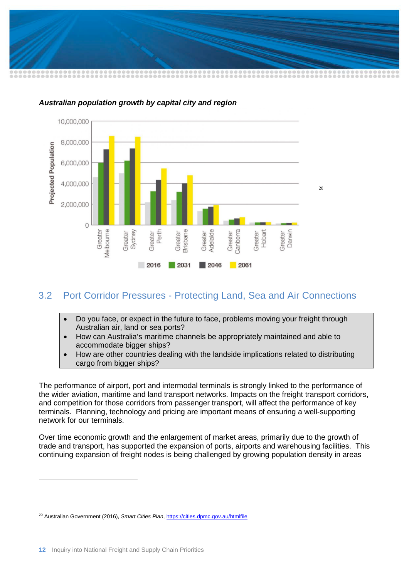



#### *Australian population growth by capital city and region*

# <span id="page-13-0"></span>3.2 Port Corridor Pressures - Protecting Land, Sea and Air Connections

- Do you face, or expect in the future to face, problems moving your freight through Australian air, land or sea ports?
- How can Australia's maritime channels be appropriately maintained and able to accommodate bigger ships?
- How are other countries dealing with the landside implications related to distributing cargo from bigger ships?

The performance of airport, port and intermodal terminals is strongly linked to the performance of the wider aviation, maritime and land transport networks. Impacts on the freight transport corridors, and competition for those corridors from passenger transport, will affect the performance of key terminals. Planning, technology and pricing are important means of ensuring a well-supporting network for our terminals.

Over time economic growth and the enlargement of market areas, primarily due to the growth of trade and transport, has supported the expansion of ports, airports and warehousing facilities. This continuing expansion of freight nodes is being challenged by growing population density in areas

-

<span id="page-13-1"></span><sup>20</sup> Australian Government (2016), *Smart Cities Plan*[, https://cities.dpmc.gov.au/htmlfile](https://cities.dpmc.gov.au/htmlfile)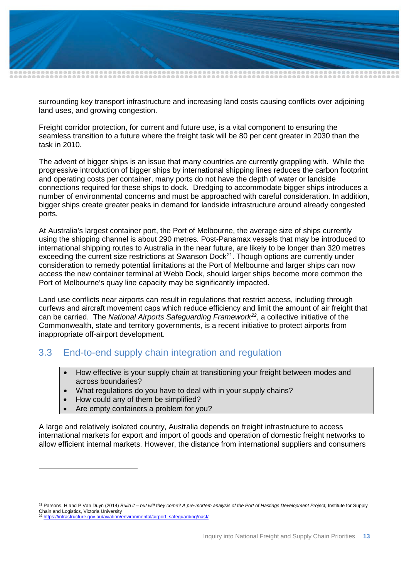

surrounding key transport infrastructure and increasing land costs causing conflicts over adjoining land uses, and growing congestion.

Freight corridor protection, for current and future use, is a vital component to ensuring the seamless transition to a future where the freight task will be 80 per cent greater in 2030 than the task in 2010.

The advent of bigger ships is an issue that many countries are currently grappling with. While the progressive introduction of bigger ships by international shipping lines reduces the carbon footprint and operating costs per container, many ports do not have the depth of water or landside connections required for these ships to dock. Dredging to accommodate bigger ships introduces a number of environmental concerns and must be approached with careful consideration. In addition, bigger ships create greater peaks in demand for landside infrastructure around already congested ports.

At Australia's largest container port, the Port of Melbourne, the average size of ships currently using the shipping channel is about 290 metres. Post-Panamax vessels that may be introduced to international shipping routes to Australia in the near future, are likely to be longer than 320 metres exceeding the current size restrictions at Swanson Dock<sup>[21](#page-14-1)</sup>. Though options are currently under consideration to remedy potential limitations at the Port of Melbourne and larger ships can now access the new container terminal at Webb Dock, should larger ships become more common the Port of Melbourne's quay line capacity may be significantly impacted.

Land use conflicts near airports can result in regulations that restrict access, including through curfews and aircraft movement caps which reduce efficiency and limit the amount of air freight that can be carried. The *National Airports Safeguarding Framework[22](#page-14-2)*, a collective initiative of the Commonwealth, state and territory governments, is a recent initiative to protect airports from inappropriate off-airport development.

## <span id="page-14-0"></span>3.3 End-to-end supply chain integration and regulation

- How effective is your supply chain at transitioning your freight between modes and across boundaries?
- What regulations do you have to deal with in your supply chains?
- How could any of them be simplified?

-

• Are empty containers a problem for you?

A large and relatively isolated country, Australia depends on freight infrastructure to access international markets for export and import of goods and operation of domestic freight networks to allow efficient internal markets. However, the distance from international suppliers and consumers

<span id="page-14-2"></span><span id="page-14-1"></span><sup>21</sup> Parsons, H and P Van Duyn (2014) *Build it – but will they come? A pre-mortem analysis of the Port of Hastings Development Project,* Institute for Supply Chain and Logistics, Victoria University <sup>22</sup> [https://infrastructure.gov.au/aviation/environmental/airport\\_safeguarding/nasf/](https://infrastructure.gov.au/aviation/environmental/airport_safeguarding/nasf/)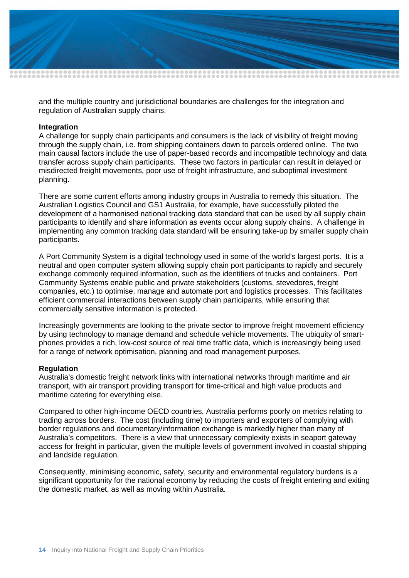

and the multiple country and jurisdictional boundaries are challenges for the integration and regulation of Australian supply chains.

#### **Integration**

A challenge for supply chain participants and consumers is the lack of visibility of freight moving through the supply chain, i.e. from shipping containers down to parcels ordered online. The two main causal factors include the use of paper-based records and incompatible technology and data transfer across supply chain participants. These two factors in particular can result in delayed or misdirected freight movements, poor use of freight infrastructure, and suboptimal investment planning.

There are some current efforts among industry groups in Australia to remedy this situation. The Australian Logistics Council and GS1 Australia, for example, have successfully piloted the development of a harmonised national tracking data standard that can be used by all supply chain participants to identify and share information as events occur along supply chains. A challenge in implementing any common tracking data standard will be ensuring take-up by smaller supply chain participants.

A Port Community System is a digital technology used in some of the world's largest ports. It is a neutral and open computer system allowing supply chain port participants to rapidly and securely exchange commonly required information, such as the identifiers of trucks and containers. Port Community Systems enable public and private stakeholders (customs, stevedores, freight companies, etc.) to optimise, manage and automate port and logistics processes. This facilitates efficient commercial interactions between supply chain participants, while ensuring that commercially sensitive information is protected.

Increasingly governments are looking to the private sector to improve freight movement efficiency by using technology to manage demand and schedule vehicle movements. The ubiquity of smartphones provides a rich, low-cost source of real time traffic data, which is increasingly being used for a range of network optimisation, planning and road management purposes.

#### **Regulation**

Australia's domestic freight network links with international networks through maritime and air transport, with air transport providing transport for time-critical and high value products and maritime catering for everything else.

Compared to other high-income OECD countries, Australia performs poorly on metrics relating to trading across borders. The cost (including time) to importers and exporters of complying with border regulations and documentary/information exchange is markedly higher than many of Australia's competitors. There is a view that unnecessary complexity exists in seaport gateway access for freight in particular, given the multiple levels of government involved in coastal shipping and landside regulation.

Consequently, minimising economic, safety, security and environmental regulatory burdens is a significant opportunity for the national economy by reducing the costs of freight entering and exiting the domestic market, as well as moving within Australia.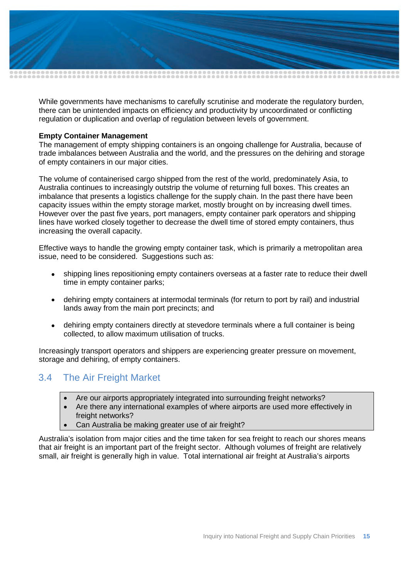

While governments have mechanisms to carefully scrutinise and moderate the regulatory burden, there can be unintended impacts on efficiency and productivity by uncoordinated or conflicting regulation or duplication and overlap of regulation between levels of government.

#### **Empty Container Management**

The management of empty shipping containers is an ongoing challenge for Australia, because of trade imbalances between Australia and the world, and the pressures on the dehiring and storage of empty containers in our major cities.

The volume of containerised cargo shipped from the rest of the world, predominately Asia, to Australia continues to increasingly outstrip the volume of returning full boxes. This creates an imbalance that presents a logistics challenge for the supply chain. In the past there have been capacity issues within the empty storage market, mostly brought on by increasing dwell times. However over the past five years, port managers, empty container park operators and shipping lines have worked closely together to decrease the dwell time of stored empty containers, thus increasing the overall capacity.

Effective ways to handle the growing empty container task, which is primarily a metropolitan area issue, need to be considered. Suggestions such as:

- shipping lines repositioning empty containers overseas at a faster rate to reduce their dwell time in empty container parks;
- dehiring empty containers at intermodal terminals (for return to port by rail) and industrial lands away from the main port precincts; and
- dehiring empty containers directly at stevedore terminals where a full container is being collected, to allow maximum utilisation of trucks.

Increasingly transport operators and shippers are experiencing greater pressure on movement, storage and dehiring, of empty containers.

## <span id="page-16-0"></span>3.4 The Air Freight Market

- Are our airports appropriately integrated into surrounding freight networks?
- Are there any international examples of where airports are used more effectively in freight networks?
- Can Australia be making greater use of air freight?

Australia's isolation from major cities and the time taken for sea freight to reach our shores means that air freight is an important part of the freight sector. Although volumes of freight are relatively small, air freight is generally high in value. Total international air freight at Australia's airports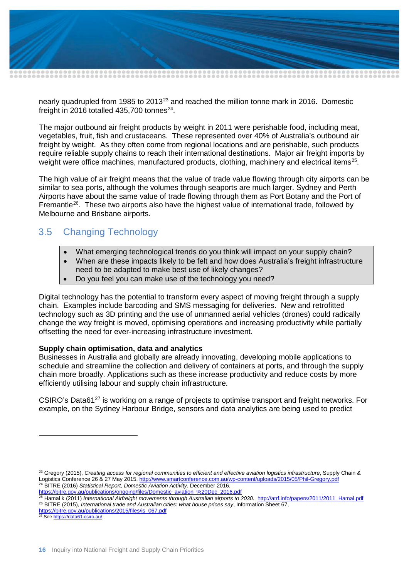

nearly quadrupled from 1985 to 2013<sup>[23](#page-17-1)</sup> and reached the million tonne mark in 2016. Domestic freight in 2016 totalled 435,700 tonnes $^{24}$  $^{24}$  $^{24}$ .

The major outbound air freight products by weight in 2011 were perishable food, including meat, vegetables, fruit, fish and crustaceans. These represented over 40% of Australia's outbound air freight by weight. As they often come from regional locations and are perishable, such products require reliable supply chains to reach their international destinations. Major air freight imports by weight were office machines, manufactured products, clothing, machinery and electrical items<sup>25</sup>.

The high value of air freight means that the value of trade value flowing through city airports can be similar to sea ports, although the volumes through seaports are much larger. Sydney and Perth Airports have about the same value of trade flowing through them as Port Botany and the Port of Fremantle<sup>[26](#page-17-4)</sup>. These two airports also have the highest value of international trade, followed by Melbourne and Brisbane airports.

# <span id="page-17-0"></span>3.5 Changing Technology

- What emerging technological trends do you think will impact on your supply chain?
- When are these impacts likely to be felt and how does Australia's freight infrastructure need to be adapted to make best use of likely changes?
- Do you feel you can make use of the technology you need?

Digital technology has the potential to transform every aspect of moving freight through a supply chain. Examples include barcoding and SMS messaging for deliveries. New and retrofitted technology such as 3D printing and the use of unmanned aerial vehicles (drones) could radically change the way freight is moved, optimising operations and increasing productivity while partially offsetting the need for ever-increasing infrastructure investment.

#### **Supply chain optimisation, data and analytics**

Businesses in Australia and globally are already innovating, developing mobile applications to schedule and streamline the collection and delivery of containers at ports, and through the supply chain more broadly. Applications such as these increase productivity and reduce costs by more efficiently utilising labour and supply chain infrastructure.

CSIRO's Data6[127](#page-17-5) is working on a range of projects to optimise transport and freight networks. For example, on the Sydney Harbour Bridge, sensors and data analytics are being used to predict

<span id="page-17-5"></span><sup>27</sup> See<https://data61.csiro.au/>

-

<span id="page-17-1"></span><sup>23</sup> Gregory (2015), *Creating access for regional communities to efficient and effective aviation logistics infrastructure*, Supply Chain & Logistics Conference 26 & 27 May 2015,<http://www.smartconference.com.au/wp-content/uploads/2015/05/Phil-Gregory.pdf> <sup>24</sup> BITRE (2016) *Statistical Report, Domestic Aviation Activity*. December 2016.

<span id="page-17-3"></span><span id="page-17-2"></span>[https://bitre.gov.au/publications/ongoing/files/Domestic\\_aviation\\_%20Dec\\_2016.pdf](https://bitre.gov.au/publications/ongoing/files/Domestic_aviation_%20Dec_2016.pdf)

<span id="page-17-4"></span><sup>25</sup> Hamal k (2011) *International Airfreight movements through Australian airports to 2030*. [http://atrf.info/papers/2011/2011\\_Hamal.pdf](http://atrf.info/papers/2011/2011_Hamal.pdf) <sup>26</sup> BITRE (2015), *International trade and Australian cities: what house prices say*, Information Sheet 67, [https://bitre.gov.au/publications/2015/files/is\\_067.pdf](https://bitre.gov.au/publications/2015/files/is_067.pdf)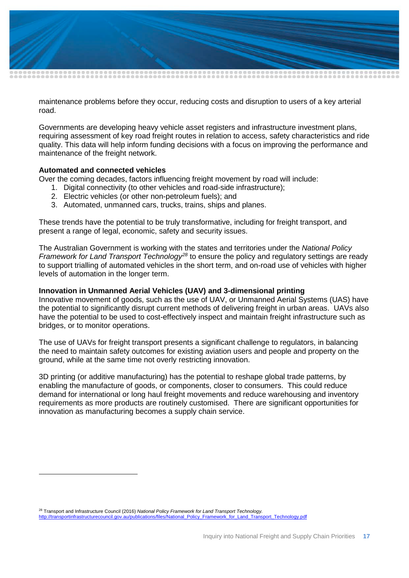

maintenance problems before they occur, reducing costs and disruption to users of a key arterial road.

Governments are developing heavy vehicle asset registers and infrastructure investment plans, requiring assessment of key road freight routes in relation to access, safety characteristics and ride quality. This data will help inform funding decisions with a focus on improving the performance and maintenance of the freight network.

#### **Automated and connected vehicles**

-

Over the coming decades, factors influencing freight movement by road will include:

- 1. Digital connectivity (to other vehicles and road-side infrastructure);
- 2. Electric vehicles (or other non-petroleum fuels); and
- 3. Automated, unmanned cars, trucks, trains, ships and planes.

These trends have the potential to be truly transformative, including for freight transport, and present a range of legal, economic, safety and security issues.

The Australian Government is working with the states and territories under the *National Policy Framework for Land Transport Technology[28](#page-18-0)* to ensure the policy and regulatory settings are ready to support trialling of automated vehicles in the short term, and on-road use of vehicles with higher levels of automation in the longer term.

#### **Innovation in Unmanned Aerial Vehicles (UAV) and 3-dimensional printing**

Innovative movement of goods, such as the use of UAV, or Unmanned Aerial Systems (UAS) have the potential to significantly disrupt current methods of delivering freight in urban areas. UAVs also have the potential to be used to cost-effectively inspect and maintain freight infrastructure such as bridges, or to monitor operations.

The use of UAVs for freight transport presents a significant challenge to regulators, in balancing the need to maintain safety outcomes for existing aviation users and people and property on the ground, while at the same time not overly restricting innovation.

3D printing (or additive manufacturing) has the potential to reshape global trade patterns, by enabling the manufacture of goods, or components, closer to consumers. This could reduce demand for international or long haul freight movements and reduce warehousing and inventory requirements as more products are routinely customised. There are significant opportunities for innovation as manufacturing becomes a supply chain service.

<span id="page-18-0"></span><sup>28</sup> Transport and Infrastructure Council (2016) *National Policy Framework for Land Transport Technology.* [http://transportinfrastructurecouncil.gov.au/publications/files/National\\_Policy\\_Framework\\_for\\_Land\\_Transport\\_Technology.pdf](http://transportinfrastructurecouncil.gov.au/publications/files/National_Policy_Framework_for_Land_Transport_Technology.pdf)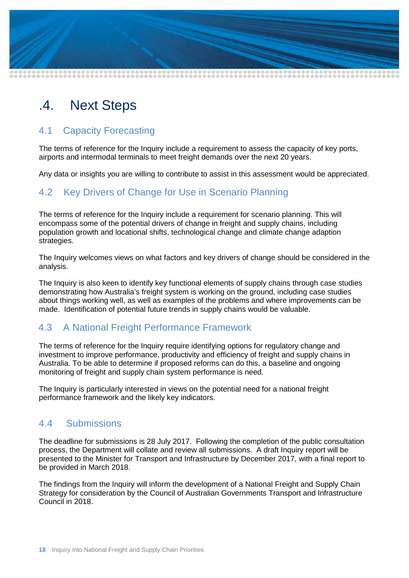

# <span id="page-19-0"></span>.4. Next Steps

# <span id="page-19-1"></span>4.1 Capacity Forecasting

The terms of reference for the Inquiry include a requirement to assess the capacity of key ports, airports and intermodal terminals to meet freight demands over the next 20 years.

Any data or insights you are willing to contribute to assist in this assessment would be appreciated.

# <span id="page-19-2"></span>4.2 Key Drivers of Change for Use in Scenario Planning

The terms of reference for the Inquiry include a requirement for scenario planning. This will encompass some of the potential drivers of change in freight and supply chains, including population growth and locational shifts, technological change and climate change adaption strategies.

The Inquiry welcomes views on what factors and key drivers of change should be considered in the analysis.

The Inquiry is also keen to identify key functional elements of supply chains through case studies demonstrating how Australia's freight system is working on the ground, including case studies about things working well, as well as examples of the problems and where improvements can be made. Identification of potential future trends in supply chains would be valuable.

## <span id="page-19-3"></span>4.3 A National Freight Performance Framework

The terms of reference for the Inquiry require identifying options for regulatory change and investment to improve performance, productivity and efficiency of freight and supply chains in Australia. To be able to determine if proposed reforms can do this, a baseline and ongoing monitoring of freight and supply chain system performance is need.

The Inquiry is particularly interested in views on the potential need for a national freight performance framework and the likely key indicators.

## <span id="page-19-4"></span>4.4 Submissions

The deadline for submissions is 28 July 2017. Following the completion of the public consultation process, the Department will collate and review all submissions. A draft Inquiry report will be presented to the Minister for Transport and Infrastructure by December 2017, with a final report to be provided in March 2018.

The findings from the Inquiry will inform the development of a National Freight and Supply Chain Strategy for consideration by the Council of Australian Governments Transport and Infrastructure Council in 2018.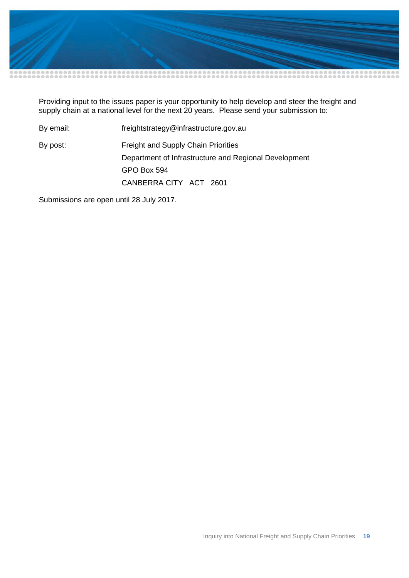

Providing input to the issues paper is your opportunity to help develop and steer the freight and supply chain at a national level for the next 20 years. Please send your submission to:

By email: freightstrategy@infrastructure.gov.au By post: Freight and Supply Chain Priorities Department of Infrastructure and Regional Development GPO Box 594 CANBERRA CITY ACT 2601

Submissions are open until 28 July 2017.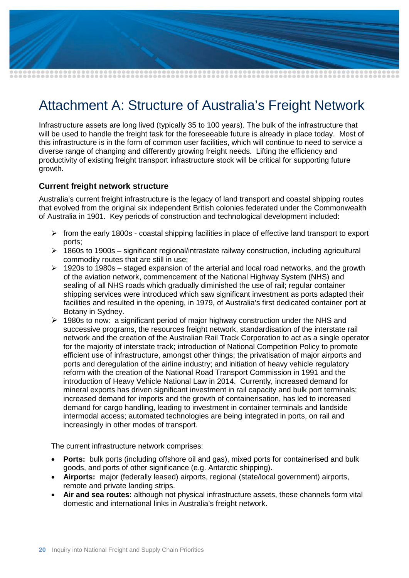

# <span id="page-21-0"></span>Attachment A: Structure of Australia's Freight Network

Infrastructure assets are long lived (typically 35 to 100 years). The bulk of the infrastructure that will be used to handle the freight task for the foreseeable future is already in place today. Most of this infrastructure is in the form of common user facilities, which will continue to need to service a diverse range of changing and differently growing freight needs. Lifting the efficiency and productivity of existing freight transport infrastructure stock will be critical for supporting future growth.

#### **Current freight network structure**

Australia's current freight infrastructure is the legacy of land transport and coastal shipping routes that evolved from the original six independent British colonies federated under the Commonwealth of Australia in 1901. Key periods of construction and technological development included:

- $\triangleright$  from the early 1800s coastal shipping facilities in place of effective land transport to export ports;
- $\geq 1860$ s to 1900s significant regional/intrastate railway construction, including agricultural commodity routes that are still in use;
- $\geq$  1920s to 1980s staged expansion of the arterial and local road networks, and the growth of the aviation network, commencement of the National Highway System (NHS) and sealing of all NHS roads which gradually diminished the use of rail; regular container shipping services were introduced which saw significant investment as ports adapted their facilities and resulted in the opening, in 1979, of Australia's first dedicated container port at Botany in Sydney.
- $\triangleright$  1980s to now: a significant period of major highway construction under the NHS and successive programs, the resources freight network, standardisation of the interstate rail network and the creation of the Australian Rail Track Corporation to act as a single operator for the majority of interstate track; introduction of National Competition Policy to promote efficient use of infrastructure, amongst other things; the privatisation of major airports and ports and deregulation of the airline industry; and initiation of heavy vehicle regulatory reform with the creation of the National Road Transport Commission in 1991 and the introduction of Heavy Vehicle National Law in 2014. Currently, increased demand for mineral exports has driven significant investment in rail capacity and bulk port terminals; increased demand for imports and the growth of containerisation, has led to increased demand for cargo handling, leading to investment in container terminals and landside intermodal access; automated technologies are being integrated in ports, on rail and increasingly in other modes of transport.

The current infrastructure network comprises:

- **Ports:** bulk ports (including offshore oil and gas), mixed ports for containerised and bulk goods, and ports of other significance (e.g. Antarctic shipping).
- **Airports:** major (federally leased) airports, regional (state/local government) airports, remote and private landing strips.
- **Air and sea routes:** although not physical infrastructure assets, these channels form vital domestic and international links in Australia's freight network.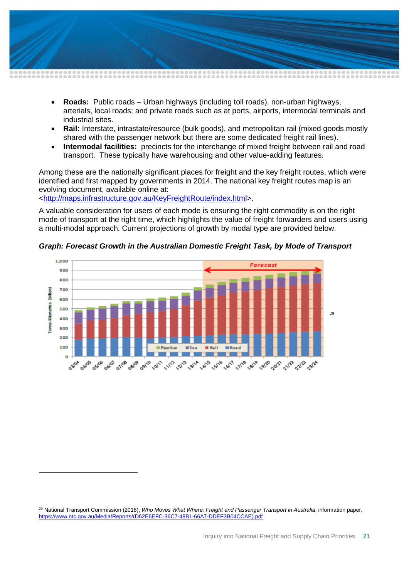

- **Roads:** Public roads Urban highways (including toll roads), non-urban highways, arterials, local roads; and private roads such as at ports, airports, intermodal terminals and industrial sites.
- **Rail:** Interstate, intrastate/resource (bulk goods), and metropolitan rail (mixed goods mostly shared with the passenger network but there are some dedicated freight rail lines).
- **Intermodal facilities:** precincts for the interchange of mixed freight between rail and road transport. These typically have warehousing and other value-adding features.

Among these are the nationally significant places for freight and the key freight routes, which were identified and first mapped by governments in 2014. The national key freight routes map is an evolving document, available online at:

[<http://maps.infrastructure.gov.au/KeyFreightRoute/index.html>](http://maps.infrastructure.gov.au/KeyFreightRoute/index.html).

-

A valuable consideration for users of each mode is ensuring the right commodity is on the right mode of transport at the right time, which highlights the value of freight forwarders and users using a multi-modal approach. Current projections of growth by modal type are provided below.



*Graph: Forecast Growth in the Australian Domestic Freight Task, by Mode of Transport*

<span id="page-22-0"></span><sup>29</sup> National Transport Commission (2016), *Who Moves What Where: Freight and Passenger Transport in Australia*, information paper, [https://www.ntc.gov.au/Media/Reports/\(D62E6EFC-36C7-48B1-66A7-DDEF3B04CCAE\).pdf](https://www.ntc.gov.au/Media/Reports/(D62E6EFC-36C7-48B1-66A7-DDEF3B04CCAE).pdf)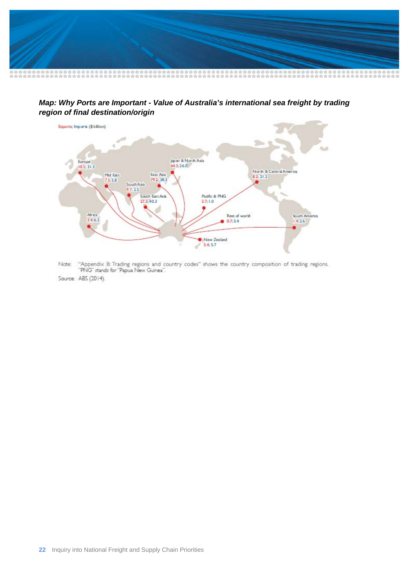

*Map: Why Ports are Important - Value of Australia's international sea freight by trading region of final destination/origin*



"Appendix B: Trading regions and country codes" shows the country composition of trading regions.<br>"PNG" stands for "Papua New Guinea". Note:

Source: ABS (2014).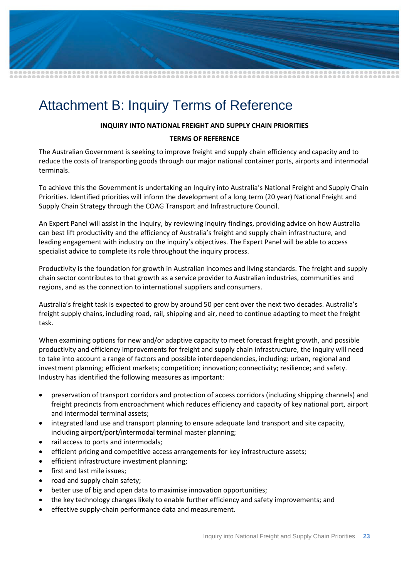

# <span id="page-24-0"></span>Attachment B: Inquiry Terms of Reference

#### **INQUIRY INTO NATIONAL FREIGHT AND SUPPLY CHAIN PRIORITIES**

#### **TERMS OF REFERENCE**

The Australian Government is seeking to improve freight and supply chain efficiency and capacity and to reduce the costs of transporting goods through our major national container ports, airports and intermodal terminals.

To achieve this the Government is undertaking an Inquiry into Australia's National Freight and Supply Chain Priorities. Identified priorities will inform the development of a long term (20 year) National Freight and Supply Chain Strategy through the COAG Transport and Infrastructure Council.

An Expert Panel will assist in the inquiry, by reviewing inquiry findings, providing advice on how Australia can best lift productivity and the efficiency of Australia's freight and supply chain infrastructure, and leading engagement with industry on the inquiry's objectives. The Expert Panel will be able to access specialist advice to complete its role throughout the inquiry process.

Productivity is the foundation for growth in Australian incomes and living standards. The freight and supply chain sector contributes to that growth as a service provider to Australian industries, communities and regions, and as the connection to international suppliers and consumers.

Australia's freight task is expected to grow by around 50 per cent over the next two decades. Australia's freight supply chains, including road, rail, shipping and air, need to continue adapting to meet the freight task.

When examining options for new and/or adaptive capacity to meet forecast freight growth, and possible productivity and efficiency improvements for freight and supply chain infrastructure, the inquiry will need to take into account a range of factors and possible interdependencies, including: urban, regional and investment planning; efficient markets; competition; innovation; connectivity; resilience; and safety. Industry has identified the following measures as important:

- preservation of transport corridors and protection of access corridors (including shipping channels) and freight precincts from encroachment which reduces efficiency and capacity of key national port, airport and intermodal terminal assets;
- integrated land use and transport planning to ensure adequate land transport and site capacity, including airport/port/intermodal terminal master planning;
- rail access to ports and intermodals;
- efficient pricing and competitive access arrangements for key infrastructure assets;
- efficient infrastructure investment planning;
- first and last mile issues;
- road and supply chain safety;
- better use of big and open data to maximise innovation opportunities;
- the key technology changes likely to enable further efficiency and safety improvements; and
- effective supply-chain performance data and measurement.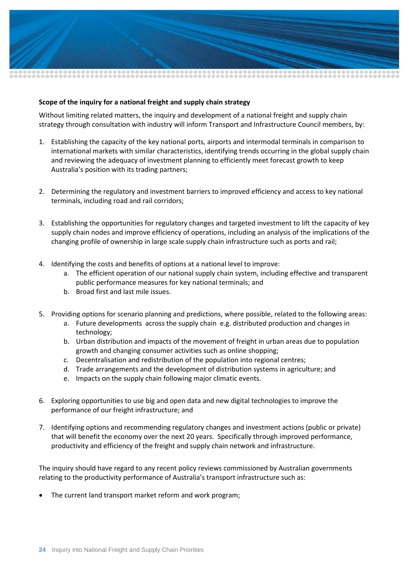

#### **Scope of the inquiry for a national freight and supply chain strategy**

Without limiting related matters, the inquiry and development of a national freight and supply chain strategy through consultation with industry will inform Transport and Infrastructure Council members, by:

- 1. Establishing the capacity of the key national ports, airports and intermodal terminals in comparison to international markets with similar characteristics, identifying trends occurring in the global supply chain and reviewing the adequacy of investment planning to efficiently meet forecast growth to keep Australia's position with its trading partners;
- 2. Determining the regulatory and investment barriers to improved efficiency and access to key national terminals, including road and rail corridors;
- 3. Establishing the opportunities for regulatory changes and targeted investment to lift the capacity of key supply chain nodes and improve efficiency of operations, including an analysis of the implications of the changing profile of ownership in large scale supply chain infrastructure such as ports and rail;
- 4. Identifying the costs and benefits of options at a national level to improve:
	- a. The efficient operation of our national supply chain system, including effective and transparent public performance measures for key national terminals; and
	- b. Broad first and last mile issues.
- 5. Providing options for scenario planning and predictions, where possible, related to the following areas:
	- a. Future developments across the supply chain e.g. distributed production and changes in technology;
	- b. Urban distribution and impacts of the movement of freight in urban areas due to population growth and changing consumer activities such as online shopping;
	- c. Decentralisation and redistribution of the population into regional centres;
	- d. Trade arrangements and the development of distribution systems in agriculture; and
	- e. Impacts on the supply chain following major climatic events.
- 6. Exploring opportunities to use big and open data and new digital technologies to improve the performance of our freight infrastructure; and
- 7. Identifying options and recommending regulatory changes and investment actions (public or private) that will benefit the economy over the next 20 years. Specifically through improved performance, productivity and efficiency of the freight and supply chain network and infrastructure.

The inquiry should have regard to any recent policy reviews commissioned by Australian governments relating to the productivity performance of Australia's transport infrastructure such as:

The current land transport market reform and work program;